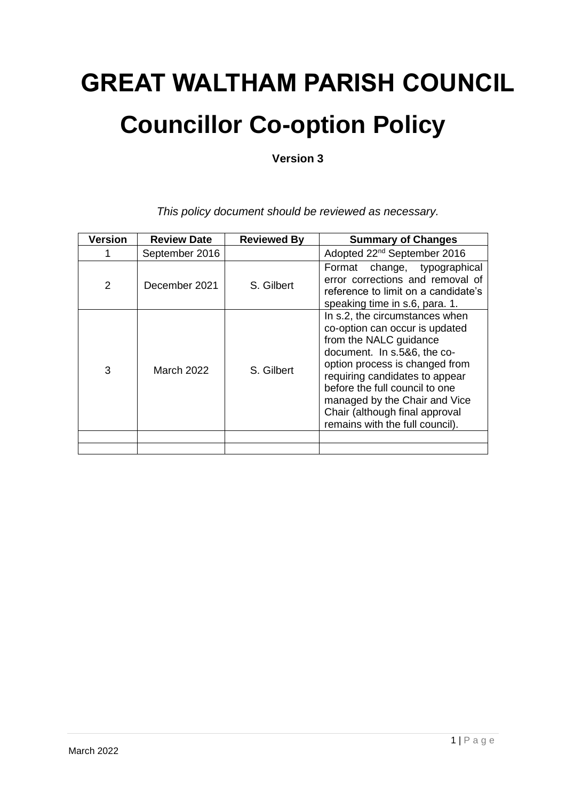# **GREAT WALTHAM PARISH COUNCIL Councillor Co-option Policy**

**Version 3**

| <b>Version</b> | <b>Review Date</b> | <b>Reviewed By</b> | <b>Summary of Changes</b>                                                                                                                                                                                                                                                                                                             |
|----------------|--------------------|--------------------|---------------------------------------------------------------------------------------------------------------------------------------------------------------------------------------------------------------------------------------------------------------------------------------------------------------------------------------|
|                | September 2016     |                    | Adopted 22 <sup>nd</sup> September 2016                                                                                                                                                                                                                                                                                               |
| 2              | December 2021      | S. Gilbert         | Format change, typographical<br>error corrections and removal of<br>reference to limit on a candidate's<br>speaking time in s.6, para. 1.                                                                                                                                                                                             |
| 3              | March 2022         | S. Gilbert         | In s.2, the circumstances when<br>co-option can occur is updated<br>from the NALC guidance<br>document. In s.5&6, the co-<br>option process is changed from<br>requiring candidates to appear<br>before the full council to one<br>managed by the Chair and Vice<br>Chair (although final approval<br>remains with the full council). |
|                |                    |                    |                                                                                                                                                                                                                                                                                                                                       |

*This policy document should be reviewed as necessary.*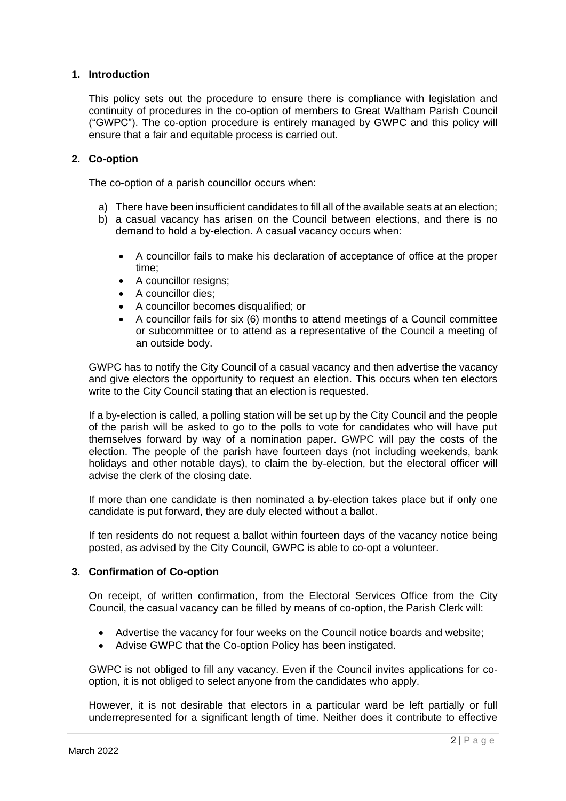#### **1. Introduction**

This policy sets out the procedure to ensure there is compliance with legislation and continuity of procedures in the co-option of members to Great Waltham Parish Council ("GWPC"). The co-option procedure is entirely managed by GWPC and this policy will ensure that a fair and equitable process is carried out.

#### **2. Co-option**

The co-option of a parish councillor occurs when:

- a) There have been insufficient candidates to fill all of the available seats at an election;
- b) a casual vacancy has arisen on the Council between elections, and there is no demand to hold a by-election. A casual vacancy occurs when:
	- A councillor fails to make his declaration of acceptance of office at the proper time;
	- A councillor resigns;
	- A councillor dies;
	- A councillor becomes disqualified; or
	- A councillor fails for six (6) months to attend meetings of a Council committee or subcommittee or to attend as a representative of the Council a meeting of an outside body.

GWPC has to notify the City Council of a casual vacancy and then advertise the vacancy and give electors the opportunity to request an election. This occurs when ten electors write to the City Council stating that an election is requested.

If a by-election is called, a polling station will be set up by the City Council and the people of the parish will be asked to go to the polls to vote for candidates who will have put themselves forward by way of a nomination paper. GWPC will pay the costs of the election. The people of the parish have fourteen days (not including weekends, bank holidays and other notable days), to claim the by-election, but the electoral officer will advise the clerk of the closing date.

If more than one candidate is then nominated a by-election takes place but if only one candidate is put forward, they are duly elected without a ballot.

If ten residents do not request a ballot within fourteen days of the vacancy notice being posted, as advised by the City Council, GWPC is able to co-opt a volunteer.

#### **3. Confirmation of Co-option**

On receipt, of written confirmation, from the Electoral Services Office from the City Council, the casual vacancy can be filled by means of co-option, the Parish Clerk will:

- Advertise the vacancy for four weeks on the Council notice boards and website;
- Advise GWPC that the Co-option Policy has been instigated.

GWPC is not obliged to fill any vacancy. Even if the Council invites applications for cooption, it is not obliged to select anyone from the candidates who apply.

However, it is not desirable that electors in a particular ward be left partially or full underrepresented for a significant length of time. Neither does it contribute to effective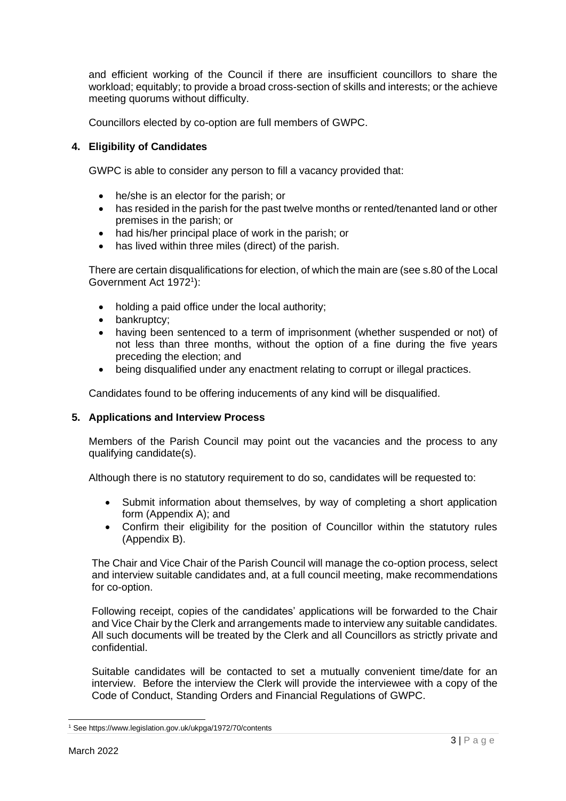and efficient working of the Council if there are insufficient councillors to share the workload; equitably; to provide a broad cross-section of skills and interests; or the achieve meeting quorums without difficulty.

Councillors elected by co-option are full members of GWPC.

#### **4. Eligibility of Candidates**

GWPC is able to consider any person to fill a vacancy provided that:

- he/she is an elector for the parish; or
- has resided in the parish for the past twelve months or rented/tenanted land or other premises in the parish; or
- had his/her principal place of work in the parish; or
- has lived within three miles (direct) of the parish.

There are certain disqualifications for election, of which the main are (see s.80 of the Local Government Act 1972<sup>1</sup>):

- holding a paid office under the local authority;
- bankruptcy:
- having been sentenced to a term of imprisonment (whether suspended or not) of not less than three months, without the option of a fine during the five years preceding the election; and
- being disqualified under any enactment relating to corrupt or illegal practices.

Candidates found to be offering inducements of any kind will be disqualified.

#### **5. Applications and Interview Process**

Members of the Parish Council may point out the vacancies and the process to any qualifying candidate(s).

Although there is no statutory requirement to do so, candidates will be requested to:

- Submit information about themselves, by way of completing a short application form (Appendix A); and
- Confirm their eligibility for the position of Councillor within the statutory rules (Appendix B).

The Chair and Vice Chair of the Parish Council will manage the co-option process, select and interview suitable candidates and, at a full council meeting, make recommendations for co-option.

Following receipt, copies of the candidates' applications will be forwarded to the Chair and Vice Chair by the Clerk and arrangements made to interview any suitable candidates. All such documents will be treated by the Clerk and all Councillors as strictly private and confidential.

Suitable candidates will be contacted to set a mutually convenient time/date for an interview. Before the interview the Clerk will provide the interviewee with a copy of the Code of Conduct, Standing Orders and Financial Regulations of GWPC.

<sup>1</sup> See https://www.legislation.gov.uk/ukpga/1972/70/contents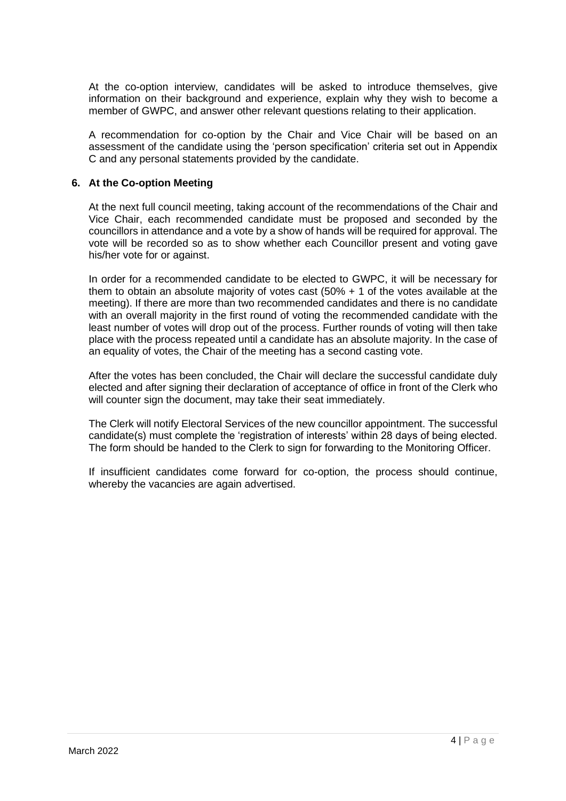At the co-option interview, candidates will be asked to introduce themselves, give information on their background and experience, explain why they wish to become a member of GWPC, and answer other relevant questions relating to their application.

A recommendation for co-option by the Chair and Vice Chair will be based on an assessment of the candidate using the 'person specification' criteria set out in Appendix C and any personal statements provided by the candidate.

#### **6. At the Co-option Meeting**

At the next full council meeting, taking account of the recommendations of the Chair and Vice Chair, each recommended candidate must be proposed and seconded by the councillors in attendance and a vote by a show of hands will be required for approval. The vote will be recorded so as to show whether each Councillor present and voting gave his/her vote for or against.

In order for a recommended candidate to be elected to GWPC, it will be necessary for them to obtain an absolute majority of votes cast (50% + 1 of the votes available at the meeting). If there are more than two recommended candidates and there is no candidate with an overall majority in the first round of voting the recommended candidate with the least number of votes will drop out of the process. Further rounds of voting will then take place with the process repeated until a candidate has an absolute majority. In the case of an equality of votes, the Chair of the meeting has a second casting vote.

After the votes has been concluded, the Chair will declare the successful candidate duly elected and after signing their declaration of acceptance of office in front of the Clerk who will counter sign the document, may take their seat immediately.

The Clerk will notify Electoral Services of the new councillor appointment. The successful candidate(s) must complete the 'registration of interests' within 28 days of being elected. The form should be handed to the Clerk to sign for forwarding to the Monitoring Officer.

If insufficient candidates come forward for co-option, the process should continue, whereby the vacancies are again advertised.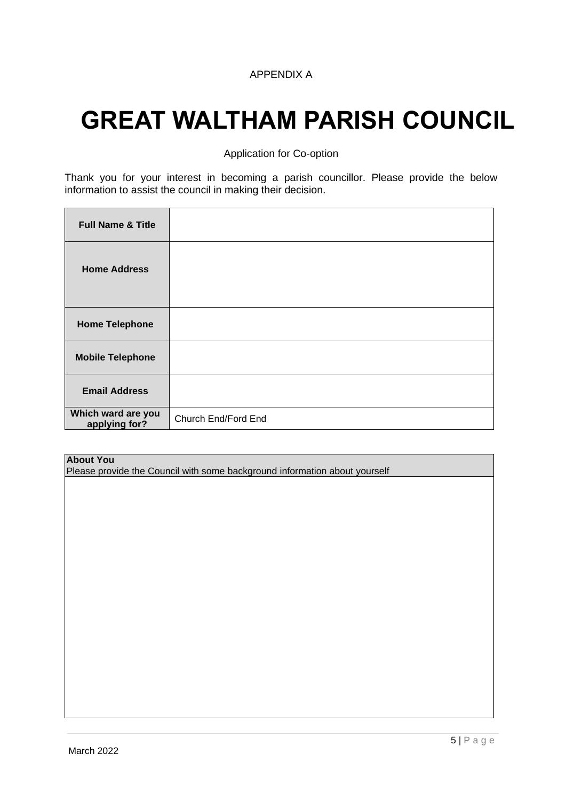#### APPENDIX A

# **GREAT WALTHAM PARISH COUNCIL**

Application for Co-option

Thank you for your interest in becoming a parish councillor. Please provide the below information to assist the council in making their decision.

| <b>Full Name &amp; Title</b>        |                     |
|-------------------------------------|---------------------|
| <b>Home Address</b>                 |                     |
| <b>Home Telephone</b>               |                     |
| <b>Mobile Telephone</b>             |                     |
| <b>Email Address</b>                |                     |
| Which ward are you<br>applying for? | Church End/Ford End |

#### **About You**

Please provide the Council with some background information about yourself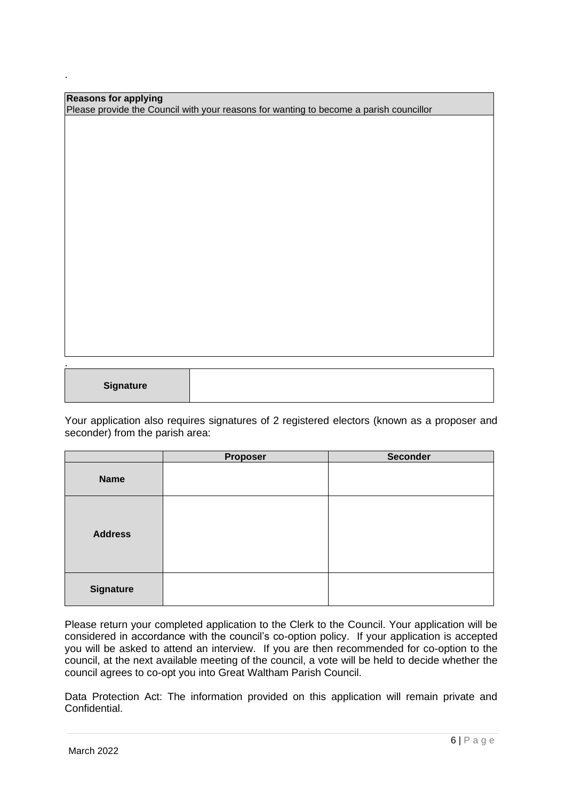| <b>Reasons for applying</b>                                                            |  |
|----------------------------------------------------------------------------------------|--|
| Please provide the Council with your reasons for wanting to become a parish councillor |  |
|                                                                                        |  |

**Signature**

.

.

Your application also requires signatures of 2 registered electors (known as a proposer and seconder) from the parish area:

|                  | Proposer | <b>Seconder</b> |
|------------------|----------|-----------------|
| <b>Name</b>      |          |                 |
| <b>Address</b>   |          |                 |
| <b>Signature</b> |          |                 |

Please return your completed application to the Clerk to the Council. Your application will be considered in accordance with the council's co-option policy. If your application is accepted you will be asked to attend an interview. If you are then recommended for co-option to the council, at the next available meeting of the council, a vote will be held to decide whether the council agrees to co-opt you into Great Waltham Parish Council.

Data Protection Act: The information provided on this application will remain private and Confidential.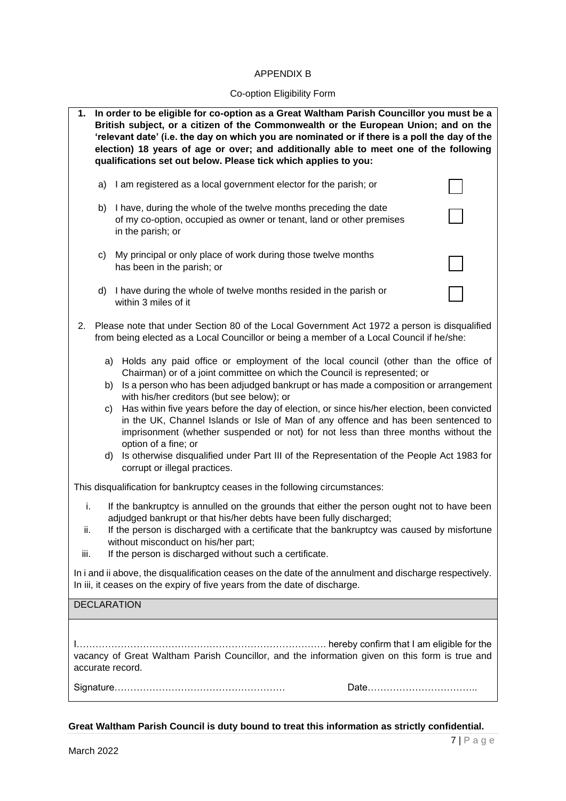#### APPENDIX B

## Co-option Eligibility Form

| In order to be eligible for co-option as a Great Waltham Parish Councillor you must be a<br>1.<br>British subject, or a citizen of the Commonwealth or the European Union; and on the<br>'relevant date' (i.e. the day on which you are nominated or if there is a poll the day of the<br>election) 18 years of age or over; and additionally able to meet one of the following<br>qualifications set out below. Please tick which applies to you: |                |                                                                                                                                                                                                                                                                                                                                                                                                                                                                                                                                                                                                                                                                                                                                          |  |
|----------------------------------------------------------------------------------------------------------------------------------------------------------------------------------------------------------------------------------------------------------------------------------------------------------------------------------------------------------------------------------------------------------------------------------------------------|----------------|------------------------------------------------------------------------------------------------------------------------------------------------------------------------------------------------------------------------------------------------------------------------------------------------------------------------------------------------------------------------------------------------------------------------------------------------------------------------------------------------------------------------------------------------------------------------------------------------------------------------------------------------------------------------------------------------------------------------------------------|--|
|                                                                                                                                                                                                                                                                                                                                                                                                                                                    | a)             | I am registered as a local government elector for the parish; or                                                                                                                                                                                                                                                                                                                                                                                                                                                                                                                                                                                                                                                                         |  |
|                                                                                                                                                                                                                                                                                                                                                                                                                                                    | b)             | I have, during the whole of the twelve months preceding the date<br>of my co-option, occupied as owner or tenant, land or other premises<br>in the parish; or                                                                                                                                                                                                                                                                                                                                                                                                                                                                                                                                                                            |  |
|                                                                                                                                                                                                                                                                                                                                                                                                                                                    | C)             | My principal or only place of work during those twelve months<br>has been in the parish; or                                                                                                                                                                                                                                                                                                                                                                                                                                                                                                                                                                                                                                              |  |
|                                                                                                                                                                                                                                                                                                                                                                                                                                                    | d)             | I have during the whole of twelve months resided in the parish or<br>within 3 miles of it                                                                                                                                                                                                                                                                                                                                                                                                                                                                                                                                                                                                                                                |  |
| 2.                                                                                                                                                                                                                                                                                                                                                                                                                                                 |                | Please note that under Section 80 of the Local Government Act 1972 a person is disqualified<br>from being elected as a Local Councillor or being a member of a Local Council if he/she:                                                                                                                                                                                                                                                                                                                                                                                                                                                                                                                                                  |  |
|                                                                                                                                                                                                                                                                                                                                                                                                                                                    | a)<br>b)<br>C) | Holds any paid office or employment of the local council (other than the office of<br>Chairman) or of a joint committee on which the Council is represented; or<br>Is a person who has been adjudged bankrupt or has made a composition or arrangement<br>with his/her creditors (but see below); or<br>Has within five years before the day of election, or since his/her election, been convicted<br>in the UK, Channel Islands or Isle of Man of any offence and has been sentenced to<br>imprisonment (whether suspended or not) for not less than three months without the<br>option of a fine; or<br>d) Is otherwise disqualified under Part III of the Representation of the People Act 1983 for<br>corrupt or illegal practices. |  |
|                                                                                                                                                                                                                                                                                                                                                                                                                                                    |                | This disqualification for bankruptcy ceases in the following circumstances:                                                                                                                                                                                                                                                                                                                                                                                                                                                                                                                                                                                                                                                              |  |
| i.<br>If the bankruptcy is annulled on the grounds that either the person ought not to have been<br>adjudged bankrupt or that his/her debts have been fully discharged;<br>If the person is discharged with a certificate that the bankruptcy was caused by misfortune<br>ii.<br>without misconduct on his/her part;<br>If the person is discharged without such a certificate.<br>iii.                                                            |                |                                                                                                                                                                                                                                                                                                                                                                                                                                                                                                                                                                                                                                                                                                                                          |  |
| In i and ii above, the disqualification ceases on the date of the annulment and discharge respectively.<br>In iii, it ceases on the expiry of five years from the date of discharge.                                                                                                                                                                                                                                                               |                |                                                                                                                                                                                                                                                                                                                                                                                                                                                                                                                                                                                                                                                                                                                                          |  |
|                                                                                                                                                                                                                                                                                                                                                                                                                                                    |                | <b>DECLARATION</b>                                                                                                                                                                                                                                                                                                                                                                                                                                                                                                                                                                                                                                                                                                                       |  |
| vacancy of Great Waltham Parish Councillor, and the information given on this form is true and<br>accurate record.                                                                                                                                                                                                                                                                                                                                 |                |                                                                                                                                                                                                                                                                                                                                                                                                                                                                                                                                                                                                                                                                                                                                          |  |
|                                                                                                                                                                                                                                                                                                                                                                                                                                                    |                |                                                                                                                                                                                                                                                                                                                                                                                                                                                                                                                                                                                                                                                                                                                                          |  |
|                                                                                                                                                                                                                                                                                                                                                                                                                                                    |                |                                                                                                                                                                                                                                                                                                                                                                                                                                                                                                                                                                                                                                                                                                                                          |  |

**Great Waltham Parish Council is duty bound to treat this information as strictly confidential.**